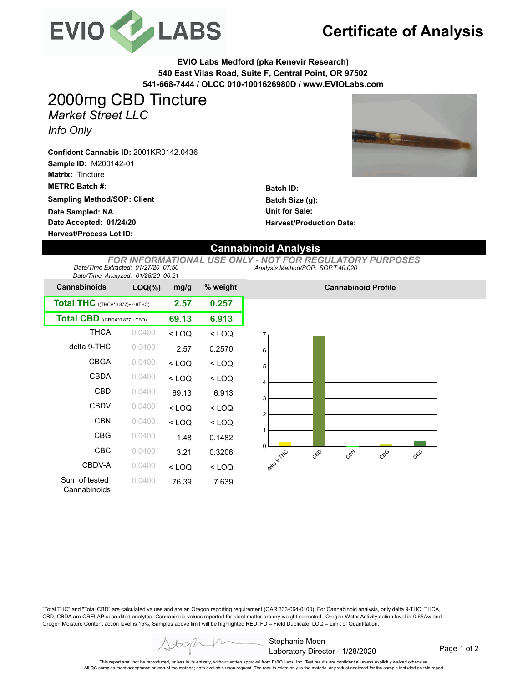

# **Certificate of Analysis**

**EVIO Labs Medford (pka Kenevir Research) 540 East Vilas Road, Suite F, Central Point, OR 97502 541-668-7444 / OLCC 010-1001626980D / www.EVIOLabs.com**



**Batch ID: Batch Size (g): Unit for Sale: Harvest/Production Date:** 

### **Date Accepted: 01/24/20 Sampling Method/SOP: Client Date Sampled: NA**

**Sample ID:** M200142-01

**Matrix:** Tincture

*Info Only*

**METRC Batch #:** 

*Market Street LLC*

**Confident Cannabis ID:** 2001KR0142.0436

2000mg CBD Tincture

**Harvest/Process Lot ID:** 

### **Cannabinoid Analysis**

*Analysis Method/SOP: SOP.T.40.020 FOR INFORMATIONAL USE ONLY - NOT FOR REGULATORY PURPOSES Date/Time Extracted: 01/27/20 07:50 Date/Time Analyzed: 01/28/20 00:21*

| $3000$ , $1000$ , $1000$ , $2000$ , $3000$ , $2000$ , $2000$<br><b>Cannabinoids</b> | $LOQ(\%)$ | mg/g    | % weight |  |
|-------------------------------------------------------------------------------------|-----------|---------|----------|--|
| <b>Total THC</b> ((THCA*0.877)+ $\triangle$ 9THC)                                   | 2.57      | 0.257   |          |  |
| Total CBD ((CBDA*0.877)+CBD)                                                        | 69.13     | 6.913   |          |  |
| <b>THCA</b>                                                                         | 0.0400    | $<$ LOQ | $<$ LOQ  |  |
| delta 9-THC                                                                         | 0.0400    | 2.57    | 0.2570   |  |
| CBGA                                                                                | 0.0400    | $<$ LOQ | $<$ LOQ  |  |
| <b>CBDA</b>                                                                         | 0.0400    | $<$ LOQ | $<$ LOQ  |  |
| CBD                                                                                 | 0.0400    | 69.13   | 6.913    |  |
| <b>CBDV</b>                                                                         | 0.0400    | $<$ LOQ | $<$ LOQ  |  |
| <b>CBN</b>                                                                          | 0.0400    | $<$ LOQ | $<$ LOQ  |  |
| <b>CBG</b>                                                                          | 0.0400    | 1.48    | 0.1482   |  |
| CBC                                                                                 | 0.0400    | 3.21    | 0.3206   |  |
| CBDV-A                                                                              | 0.0400    | $<$ LOQ | $<$ LOQ  |  |
| Sum of tested<br>Cannabinoids                                                       | 0.0400    | 76.39   | 7.639    |  |



**Cannabinoid Profile**

"Total THC" and "Total CBD" are calculated values and are an Oregon reporting requirement (OAR 333-064-0100). For Cannabinoid analysis, only delta 9-THC, THCA, CBD, CBDA are ORELAP accredited analytes. Cannabinoid values reported for plant matter are dry weight corrected; Oregon Water Activity action level is 0.65Aw and Oregon Moisture Content action level is 15%, Samples above limit will be highlighted RED; FD = Field Duplicate; LOQ = Limit of Quantitation.



Page 1 of 2

This report shall not be reproduced, unless in its entirety, without written approval from EVIO Labs, Inc. Test results are confidential unless explicitly waived otherwise.<br>All QC samples meet acceptance criteria of the me